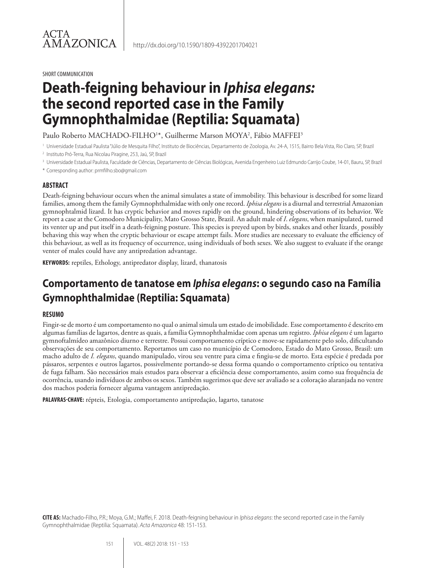SHORT COMMUNICATION

ACTA

# **Death-feigning behaviour in** *Iphisa elegans:* **the second reported case in the Family Gymnophthalmidae (Reptilia: Squamata)**

Paulo Roberto MACHADO-FILHO<sup>1</sup>\*, Guilherme Marson MOYA<sup>2</sup>, Fábio MAFFEI<sup>3</sup>

<sup>1</sup> Universidade Estadual Paulista "Júlio de Mesquita Filho", Instituto de Biociências, Departamento de Zoologia, Av. 24-A, 1515, Bairro Bela Vista, Rio Claro, SP, Brazil

- <sup>2</sup> Instituto Pró-Terra, Rua Nicolau Piragine, 253, Jaú, SP, Brazil
- <sup>3</sup> Universidade Estadual Paulista, Faculdade de Ciências, Departamento de Ciências Biológicas, Avenida Engenheiro Luiz Edmundo Carrijo Coube, 14-01, Bauru, SP, Brazil
- \* Corresponding author: prmfilho.sbo@gmail.com

#### **ABSTRACT**

Death-feigning behaviour occurs when the animal simulates a state of immobility. This behaviour is described for some lizard families, among them the family Gymnophthalmidae with only one record. *Iphisa elegans* is a diurnal and terrestrial Amazonian gymnophtalmid lizard. It has cryptic behavior and moves rapidly on the ground, hindering observations of its behavior. We report a case at the Comodoro Municipality, Mato Grosso State, Brazil. An adult male of *I*. *elegans*, when manipulated, turned its venter up and put itself in a death-feigning posture. This species is preyed upon by birds, snakes and other lizards¸ possibly behaving this way when the cryptic behaviour or escape attempt fails. More studies are necessary to evaluate the efficiency of this behaviour, as well as its frequency of occurrence, using individuals of both sexes. We also suggest to evaluate if the orange venter of males could have any antipredation advantage.

**KEYWORDS:** reptiles, Ethology, antipredator display, lizard, thanatosis

## **Comportamento de tanatose em** *Iphisa elegans***: o segundo caso na Família Gymnophthalmidae (Reptilia: Squamata)**

#### **RESUMO**

Fingir-se de morto é um comportamento no qual o animal simula um estado de imobilidade. Esse comportamento é descrito em algumas famílias de lagartos, dentre as quais, a família Gymnophthalmidae com apenas um registro. *Iphisa elegans* é um lagarto gymnoftalmídeo amazônico diurno e terrestre. Possui comportamento críptico e move-se rapidamente pelo solo, dificultando observações de seu comportamento. Reportamos um caso no município de Comodoro, Estado do Mato Grosso, Brasil: um macho adulto de *I. elegans*, quando manipulado, virou seu ventre para cima e fingiu-se de morto. Esta espécie é predada por pássaros, serpentes e outros lagartos, possivelmente portando-se dessa forma quando o comportamento críptico ou tentativa de fuga falham. São necessários mais estudos para observar a eficiência desse comportamento, assim como sua frequência de ocorrência, usando indivíduos de ambos os sexos. Também sugerimos que deve ser avaliado se a coloração alaranjada no ventre dos machos poderia fornecer alguma vantagem antipredação.

**PALAVRAS-CHAVE:** répteis, Etologia, comportamento antipredação, lagarto, tanatose

**CITE AS:** Machado-Filho, P.R.; Moya, G.M.; Maffei, F. 2018. Death-feigning behaviour in *Iphisa elegans*: the second reported case in the Family Gymnophthalmidae (Reptilia: Squamata). *Acta Amazonica* 48: 151-153.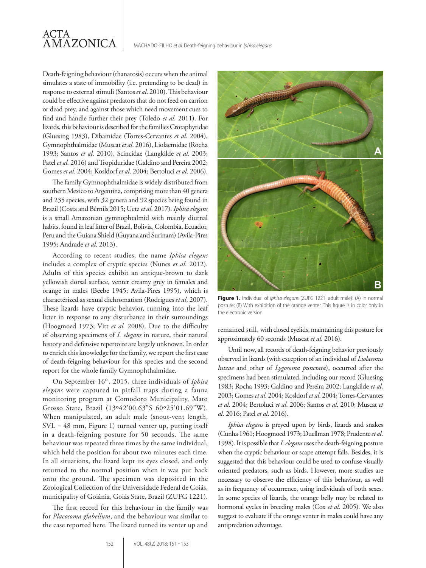Death-feigning behaviour (thanatosis) occurs when the animal simulates a state of immobility (i.e. pretending to be dead) in response to external stimuli (Santos *et al*. 2010). This behaviour could be effective against predators that do not feed on carrion or dead prey, and against those which need movement cues to find and handle further their prey (Toledo *et al*. 2011). For lizards, this behaviour is described for the families Crotaphytidae (Gluesing 1983), Dibamidae (Torres-Cervantes *et al*. 2004), Gymnophthalmidae (Muscat *et al*. 2016), Liolaemidae (Rocha 1993; Santos *et al*. 2010), Scincidae (Langkilde *et al*. 2003; Patel *et al.* 2016) and Tropiduridae (Galdino and Pereira 2002; Gomes *et al*. 2004; Kosldorf *et al*. 2004; Bertoluci *et al*. 2006).

The family Gymnophthalmidae is widely distributed from southern Mexico to Argentina, comprising more than 40 genera and 235 species, with 32 genera and 92 species being found in Brazil (Costa and Bérnils 2015; Uetz *et al*. 2017). *Iphisa elegans* is a small Amazonian gymnophtalmid with mainly diurnal habits, found in leaf litter of Brazil, Bolivia, Colombia, Ecuador, Peru and the Guiana Shield (Guyana and Surinam) (Avila-Pires 1995; Andrade *et al*. 2013).

According to recent studies, the name *Iphisa elegans* includes a complex of cryptic species (Nunes *et al*. 2012). Adults of this species exhibit an antique-brown to dark yellowish dorsal surface, venter creamy grey in females and orange in males (Beebe 1945; Avila-Pires 1995), which is characterized as sexual dichromatism (Rodrigues *et al*. 2007). These lizards have cryptic behavior, running into the leaf litter in response to any disturbance in their surroundings (Hoogmoed 1973; Vitt *et al.* 2008). Due to the difficulty of observing specimens of *I. elegans* in nature, their natural history and defensive repertoire are largely unknown. In order to enrich this knowledge for the family, we report the first case of death-feigning behaviour for this species and the second report for the whole family Gymnophthalmidae.

On September 16th, 2015, three individuals of *Iphisa elegans* were captured in pitfall traps during a fauna monitoring program at Comodoro Municipality, Mato Grosso State, Brazil (13º42'00.63"S 60º25'01.69"W). When manipulated, an adult male (snout-vent length, SVL = 48 mm, Figure 1) turned venter up, putting itself in a death-feigning posture for 50 seconds. The same behaviour was repeated three times by the same individual, which held the position for about two minutes each time. In all situations, the lizard kept its eyes closed, and only returned to the normal position when it was put back onto the ground. The specimen was deposited in the Zoological Collection of the Universidade Federal de Goiás, municipality of Goiânia, Goiás State, Brazil (ZUFG 1221).

The first record for this behaviour in the family was for *Placosoma glabellum*, and the behaviour was similar to the case reported here. The lizard turned its venter up and



**Figure 1.** Individual of *Iphisa elegans* (ZUFG 1221, adult male): (A) In normal posture; (B) With exhibition of the orange venter. This figure is in color only in the electronic version.

remained still, with closed eyelids, maintaining this posture for approximately 60 seconds (Muscat *et al*. 2016).

Until now, all records of death-feigning behavior previously observed in lizards (with exception of an individual of *Liolaemus lutzae* and other of *Lygosoma punctata*), occurred after the specimens had been stimulated, including our record (Gluesing 1983; Rocha 1993; Galdino and Pereira 2002; Langkilde *et al*. 2003; Gomes *et al*. 2004; Kosldorf *et al*. 2004; Torres-Cervantes *et al*. 2004; Bertoluci *et al*. 2006; Santos *et al*. 2010; Muscat *et al*. 2016; Patel *et al*. 2016).

*Iphisa elegans* is preyed upon by birds, lizards and snakes (Cunha 1961; Hoogmoed 1973; Duellman 1978; Prudente *et al*. 1998). It is possible that *I. elegans* uses the death-feigning posture when the cryptic behaviour or scape attempt fails. Besides, it is suggested that this behaviour could be used to confuse visually oriented predators, such as birds. However, more studies are necessary to observe the efficiency of this behaviour, as well as its frequency of occurrence, using individuals of both sexes. In some species of lizards, the orange belly may be related to hormonal cycles in breeding males (Cox *et al*. 2005). We also suggest to evaluate if the orange venter in males could have any antipredation advantage.